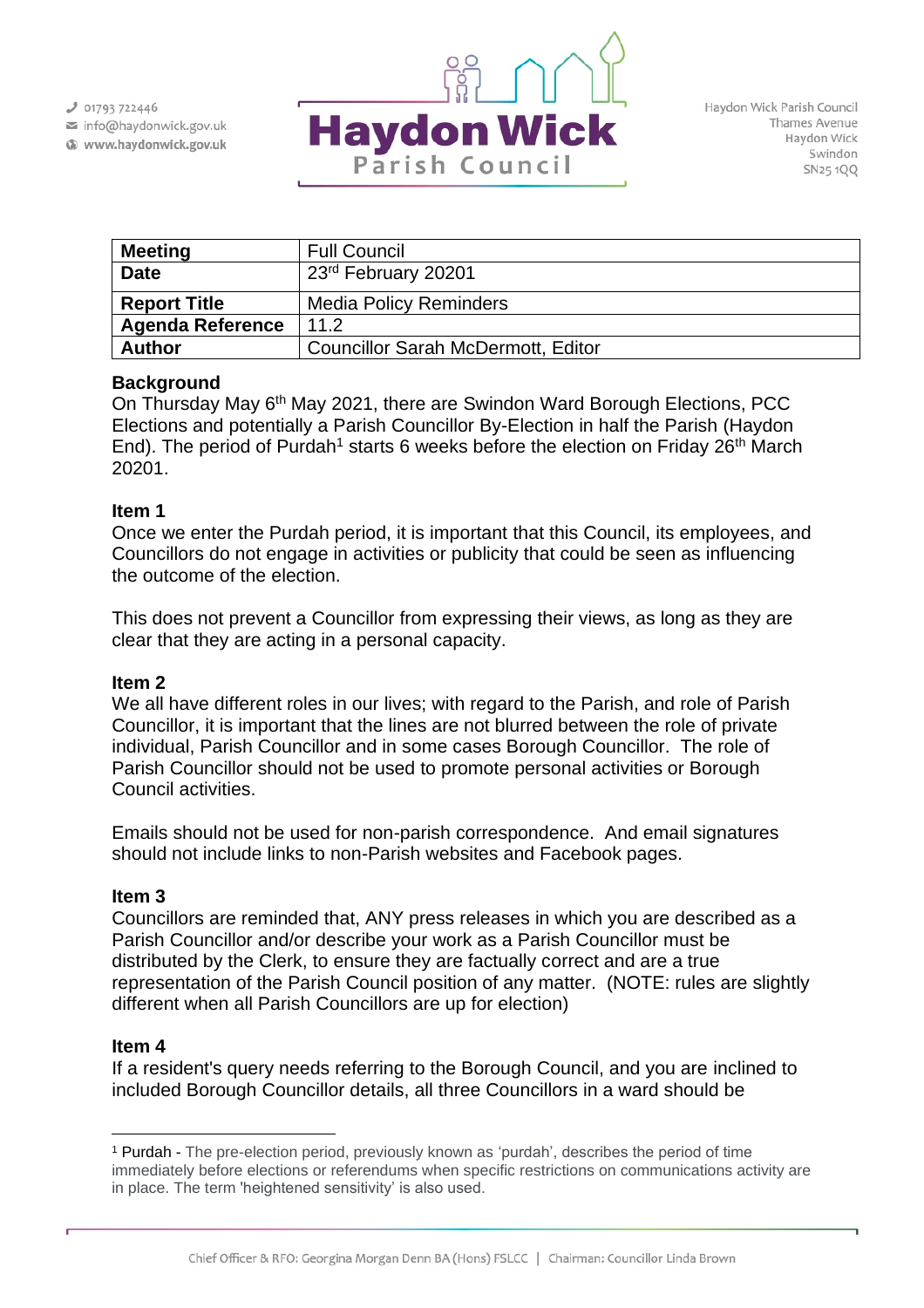$J$  01793 722446

info@haydonwick.gov.uk Www.haydonwick.gov.uk



| <b>Meeting</b>          | <b>Full Council</b>                       |
|-------------------------|-------------------------------------------|
| <b>Date</b>             | 23 <sup>rd</sup> February 20201           |
| <b>Report Title</b>     | <b>Media Policy Reminders</b>             |
| <b>Agenda Reference</b> | 11.2                                      |
| <b>Author</b>           | <b>Councillor Sarah McDermott, Editor</b> |

## **Background**

On Thursday May 6th May 2021, there are Swindon Ward Borough Elections, PCC Elections and potentially a Parish Councillor By-Election in half the Parish (Haydon End). The period of Purdah<sup>1</sup> starts 6 weeks before the election on Friday 26<sup>th</sup> March 20201.

## **Item 1**

Once we enter the Purdah period, it is important that this Council, its employees, and Councillors do not engage in activities or publicity that could be seen as influencing the outcome of the election.

This does not prevent a Councillor from expressing their views, as long as they are clear that they are acting in a personal capacity.

### **Item 2**

We all have different roles in our lives; with regard to the Parish, and role of Parish Councillor, it is important that the lines are not blurred between the role of private individual, Parish Councillor and in some cases Borough Councillor. The role of Parish Councillor should not be used to promote personal activities or Borough Council activities.

Emails should not be used for non-parish correspondence. And email signatures should not include links to non-Parish websites and Facebook pages.

# **Item 3**

Councillors are reminded that, ANY press releases in which you are described as a Parish Councillor and/or describe your work as a Parish Councillor must be distributed by the Clerk, to ensure they are factually correct and are a true representation of the Parish Council position of any matter. (NOTE: rules are slightly different when all Parish Councillors are up for election)

### **Item 4**

If a resident's query needs referring to the Borough Council, and you are inclined to included Borough Councillor details, all three Councillors in a ward should be

<sup>1</sup> Purdah - The pre-election period, previously known as 'purdah', describes the period of time immediately before elections or referendums when specific restrictions on communications activity are in place. The term 'heightened sensitivity' is also used.